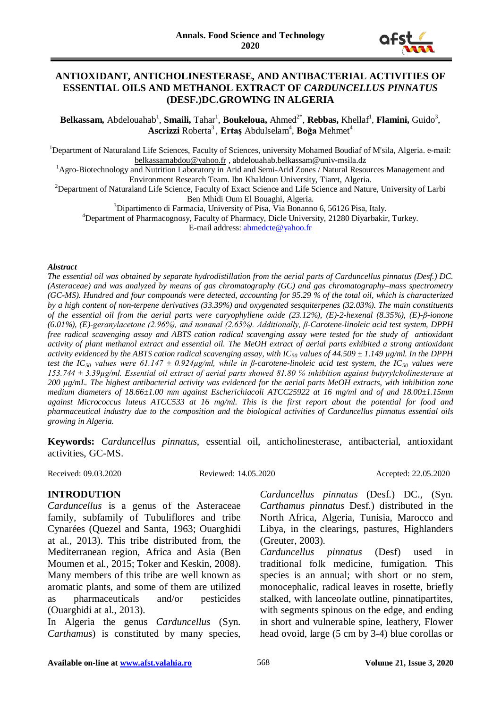

#### **ANTIOXIDANT, ANTICHOLINESTERASE, AND ANTIBACTERIAL ACTIVITIES OF ESSENTIAL OILS AND METHANOL EXTRACT OF** *CARDUNCELLUS PINNATUS* **(DESF.)DC.GROWING IN ALGERIA**

Belkassam, Abdelouahab<sup>1</sup>, Smaili, Tahar<sup>1</sup>, Boukeloua, Ahmed<sup>2\*</sup>, Rebbas, Khellaf<sup>1</sup>, Flamini, Guido<sup>3</sup>, **Ascrizzi** Roberta<sup>3</sup>, Ertaş Abdulselam<sup>4</sup>, Boğa Mehmet<sup>4</sup>

<sup>1</sup>Department of Naturaland Life Sciences, Faculty of Sciences, university Mohamed Boudiaf of M'sila, Algeria. e-mail:

[belkassamabdou@yahoo.fr](mailto:belkassamabdou@yahoo.fr) , abdelouahab.belkassam@univ-msila.dz<br><sup>1</sup>Agro-Biotechnology and Nutrition Laboratory in Arid and Semi-Arid Zones / Natural Resources Management and Environment Research Team. Ibn Khaldoun University, Tiaret, Algeria. <sup>2</sup>

<sup>2</sup>Department of Naturaland Life Science, Faculty of Exact Science and Life Science and Nature, University of Larbi<br>Ben Mhidi Oum El Bouaghi, Algeria.

Ben Mhidi Oum El Bouaghi, Algeria.<br><sup>3</sup>Dipertimente di Fermacia, University of Pisa, Via Bonann

<sup>3</sup>Dipartimento di Farmacia, University of Pisa, Via Bonanno 6, 56126 Pisa, Italy.  $\frac{4}{1}$ 

Department of Pharmacognosy, Faculty of Pharmacy, Dicle University, 21280 Diyarbakir, Turkey. E-mail address: [ahmedcte@yahoo.fr](mailto:ahmedcte@yahoo.fr)

#### *Abstract*

*The essential oil was obtained by separate hydrodistillation from the aerial parts of Carduncellus pinnatus (Desf.) DC. (Asteraceae) and was analyzed by means of gas chromatography (GC) and gas chromatography–mass spectrometry (GC-MS). Hundred and four compounds were detected, accounting for 95.29 % of the total oil, which is characterized by a high content of non-terpene derivatives (33.39%) and oxygenated sesquiterpenes (32.03%). The main constituents of the essential oil from the aerial parts were caryophyllene oxide (23.12%), (E)-2-hexenal (8.35%), (E)-β-ionone (6.01%), (E)-geranylacetone (2.96%), and nonanal (2.65%). Additionally, β-Carotene-linoleic acid test system, DPPH free radical scavenging assay and ABTS cation radical scavenging assay were tested for the study of antioxidant activity of plant methanol extract and essential oil. The MeOH extract of aerial parts exhibited a strong antioxidant activity evidenced by the ABTS cation radical scavenging assay, with IC<sub>50</sub> values of 44.509*  $\pm$  *1.149*  $\mu$ *g/ml. In the DPPH test the IC<sub>50</sub> values were 61.147*  $\pm$  0.924µg/ml, while in *β*-carotene-linoleic acid test system, the IC<sub>50</sub> values were *153.744 ± 3.39µg/ml. Essential oil extract of aerial parts showed 81.80 ℅ inhibition against butyrylcholinesterase at 200 µg/mL. The highest antibacterial activity was evidenced for the aerial parts MeOH extracts, with inhibition zone medium diameters of 18.66±1.00 mm against Escherichiacoli ATCC25922 at 16 mg/ml and of and 18.00±1.15mm against Micrococcus luteus ATCC533 at 16 mg/ml. This is the first report about the potential for food and pharmaceutical industry due to the composition and the biological activities of Carduncellus pinnatus essential oils growing in Algeria.*

**Keywords:** *Carduncellus pinnatus*, essential oil, anticholinesterase, antibacterial, antioxidant activities, GC-MS.

Received: 09.03.2020 Reviewed: 14.05.2020 Accepted: 22.05.2020

## **INTRODUTION**

*Carduncellus* is a genus of the Asteraceae family, subfamily of Tubuliflores and tribe Cynarées (Quezel and Santa, 1963; Ouarghidi at al., 2013). This tribe distributed from, the Mediterranean region, Africa and Asia (Ben Moumen et al., 2015; Toker and Keskin, 2008). Many members of this tribe are well known as aromatic plants, and some of them are utilized as pharmaceuticals and/or pesticides (Ouarghidi at al., 2013).

In Algeria the genus *Carduncellus* (Syn. *Carthamus*) is constituted by many species,

*Carduncellus pinnatus* (Desf.) DC., (Syn. *Carthamus pinnatus* Desf.) distributed in the North Africa, Algeria, Tunisia, Marocco and Libya, in the clearings, pastures, Highlanders (Greuter, 2003).

*Carduncellus pinnatus* (Desf) used in traditional folk medicine, fumigation. This species is an annual; with short or no stem, monocephalic, radical leaves in rosette, briefly stalked, with lanceolate outline, pinnatipartites, with segments spinous on the edge, and ending in short and vulnerable spine, leathery, Flower head ovoid, large (5 cm by 3-4) blue corollas or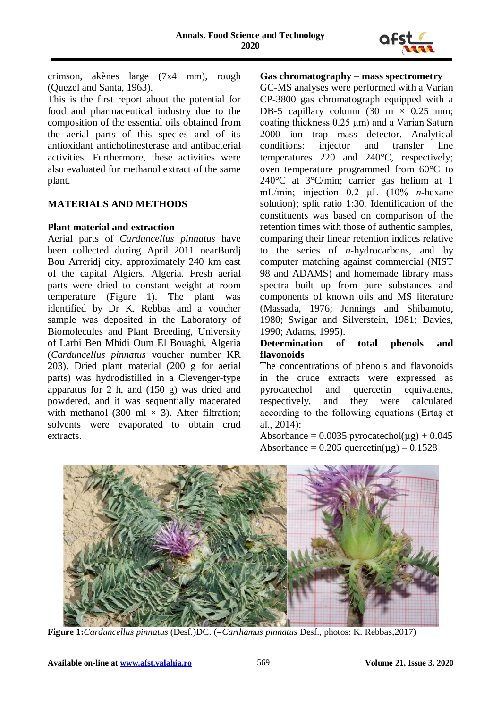

crimson, akènes large (7x4 mm), rough (Quezel and Santa, 1963).

This is the first report about the potential for food and pharmaceutical industry due to the composition of the essential oils obtained from the aerial parts of this species and of its antioxidant anticholinesterase and antibacterial activities. Furthermore, these activities were also evaluated for methanol extract of the same plant.

## **MATERIALS AND METHODS**

#### **Plant material and extraction**

Aerial parts of *Carduncellus pinnatus* have been collected during April 2011 nearBordj Bou Arreridj city, approximately 240 km east of the capital Algiers, Algeria. Fresh aerial parts were dried to constant weight at room temperature (Figure 1). The plant was identified by Dr K. Rebbas and a voucher sample was deposited in the Laboratory of Biomolecules and Plant Breeding, University of Larbi Ben Mhidi Oum El Bouaghi, Algeria (*Carduncellus pinnatus* voucher number KR 203). Dried plant material (200 g for aerial parts) was hydrodistilled in a Clevenger-type apparatus for 2 h, and (150 g) was dried and powdered, and it was sequentially macerated with methanol (300 ml  $\times$  3). After filtration: solvents were evaporated to obtain crud extracts.

## **Gas chromatography – mass spectrometry**

GC-MS analyses were performed with a Varian CP-3800 gas chromatograph equipped with a DB-5 capillary column  $(30 \text{ m} \times 0.25 \text{ mm})$ ; coating thickness 0.25 μm) and a Varian Saturn 2000 ion trap mass detector. Analytical conditions: injector and transfer line temperatures 220 and 240°C, respectively; oven temperature programmed from 60°C to 240°C at 3°C/min; carrier gas helium at 1 mL/min; injection 0.2 μL (10% *n*-hexane solution); split ratio 1:30. Identification of the constituents was based on comparison of the retention times with those of authentic samples, comparing their linear retention indices relative to the series of *n*-hydrocarbons, and by computer matching against commercial (NIST 98 and ADAMS) and homemade library mass spectra built up from pure substances and components of known oils and MS literature (Massada, 1976; Jennings and Shibamoto, 1980; Swigar and Silverstein, 1981; Davies, 1990; Adams, 1995).

## **Determination of total phenols and flavonoids**

The concentrations of phenols and flavonoids in the crude extracts were expressed as pyrocatechol and quercetin equivalents, respectively, and they were calculated according to the following equations (Ertaş et al., 2014):

Absorbance =  $0.0035$  pyrocatechol( $\mu$ g) +  $0.045$ Absorbance =  $0.205$  quercetin( $\mu$ g) –  $0.1528$ 



**Figure 1:***Carduncellus pinnatus* (Desf.)DC. (=*Carthamus pinnatus* Desf., photos: K. Rebbas,2017)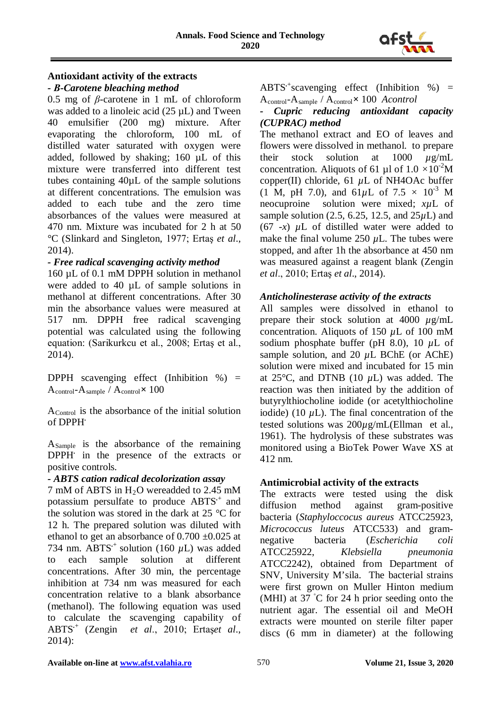

# **Antioxidant activity of the extracts**

#### *- Β-Carotene bleaching method*

0.5 mg of *β*-carotene in 1 mL of chloroform was added to a linoleic acid (25  $\mu$ L) and Tween 40 emulsifier (200 mg) mixture. After evaporating the chloroform, 100 mL of distilled water saturated with oxygen were added, followed by shaking; 160 µL of this mixture were transferred into different test tubes containing 40µL of the sample solutions at different concentrations. The emulsion was added to each tube and the zero time absorbances of the values were measured at 470 nm. Mixture was incubated for 2 h at 50 °C (Slinkard and Singleton, 1977; Ertaş *et al*., 2014).

## *- Free radical scavenging activity method*

160 µL of 0.1 mM DPPH solution in methanol were added to 40 µL of sample solutions in methanol at different concentrations. After 30 min the absorbance values were measured at 517 nm. DPPH free radical scavenging potential was calculated using the following equation: (Sarikurkcu et al., 2008; Ertaş et al., 2014).

DPPH scavenging effect (Inhibition  $\%$ ) = Acontrol-Asample / Acontrol**×** 100

AControl is the absorbance of the initial solution of DPPH**.**

ASample is the absorbance of the remaining DPPH**.** in the presence of the extracts or positive controls.

## *- ABTS cation radical decolorization assay*

7 mM of ABTS in H2O wereadded to 2.45 mM potassium persulfate to produce ABTS*.*+ and the solution was stored in the dark at 25 *°*C for 12 h. The prepared solution was diluted with ethanol to get an absorbance of  $0.700 \pm 0.025$  at 734 nm. ABTS<sup> $+$ </sup> solution (160  $\mu$ L) was added to each sample solution at different concentrations. After 30 min, the percentage inhibition at 734 nm was measured for each concentration relative to a blank absorbance (methanol). The following equation was used to calculate the scavenging capability of ABTS*.*<sup>+</sup> (Zengin *et al*., 2010; Ertaş*et al*., 2014):

ABTS*.*<sup>+</sup> scavenging effect (Inhibition %) = Acontrol-Asample / Acontrol**×** 100 *Acontrol*

#### *- Cupric reducing antioxidant capacity (CUPRAC) method*

The methanol extract and EO of leaves and flowers were dissolved in methanol. to prepare their stock solution at 1000 *µ*g/mL concentration. Aliquots of 61 µl of  $1.0 \times 10^{-2}$ M copper(II) chloride, 61 *µ*L of NH4OAc buffer  $(1 \text{ M}, \text{pH } 7.0)$ , and  $61 \mu \text{L}$  of  $7.5 \times 10^{3} \text{ M}$ neocuproine solution were mixed; *xµ*L of sample solution (2.5, 6.25, 12.5, and 25*µ*L) and  $(67 - x)$   $\mu$ L of distilled water were added to make the final volume 250  $\mu$ L. The tubes were stopped, and after 1h the absorbance at 450 nm was measured against a reagent blank (Zengin *et al*., 2010; Ertaş *et al*., 2014).

## *Anticholinesterase activity of the extracts*

All samples were dissolved in ethanol to prepare their stock solution at 4000 *µ*g/mL concentration. Aliquots of 150 *µ*L of 100 mM sodium phosphate buffer (pH 8.0), 10 *µ*L of sample solution, and 20  $\mu$ L BChE (or AChE) solution were mixed and incubated for 15 min at  $25^{\circ}$ C, and DTNB (10  $\mu$ L) was added. The reaction was then initiated by the addition of butyrylthiocholine iodide (or acetylthiocholine iodide) (10 *µ*L). The final concentration of the tested solutions was 200*µ*g/mL(Ellman et al., 1961). The hydrolysis of these substrates was monitored using a BioTek Power Wave XS at 412 nm.

## **Antimicrobial activity of the extracts**

The extracts were tested using the disk diffusion method against gram-positive bacteria (*Staphyloccocus aureus* ATCC25923, *Micrococcus luteus* ATCC533) and gramnegative bacteria (*Escherichia coli* ATCC25922, *Klebsiella pneumonia* ATCC2242), obtained from Department of SNV, University M'sila. The bacterial strains were first grown on Muller Hinton medium (MHI) at 37 ◦ C for 24 h prior seeding onto the nutrient agar. The essential oil and MeOH extracts were mounted on sterile filter paper discs (6 mm in diameter) at the following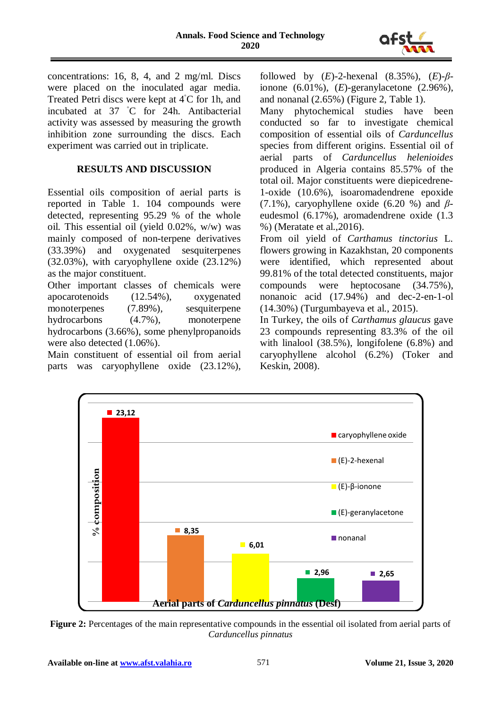

concentrations: 16, 8, 4, and 2 mg/ml. Discs were placed on the inoculated agar media. Treated Petri discs were kept at 4◦ C for 1h, and incubated at 37 ◦ C for 24h. Antibacterial activity was assessed by measuring the growth inhibition zone surrounding the discs. Each experiment was carried out in triplicate.

#### **RESULTS AND DISCUSSION**

Essential oils composition of aerial parts is reported in Table 1. 104 compounds were detected, representing 95.29 % of the whole oil. This essential oil (yield 0.02%, w/w) was mainly composed of non-terpene derivatives (33.39%) and oxygenated sesquiterpenes (32.03%), with caryophyllene oxide (23.12%) as the major constituent.

Other important classes of chemicals were apocarotenoids (12.54%), oxygenated monoterpenes (7.89%), sesquiterpene hydrocarbons (4.7%), monoterpene hydrocarbons (3.66%), some phenylpropanoids were also detected (1.06%).

Main constituent of essential oil from aerial parts was caryophyllene oxide (23.12%),

followed by (*E*)-2-hexenal (8.35%), (*E*)-*β*ionone (6.01%), (*E*)-geranylacetone (2.96%), and nonanal (2.65%) (Figure 2, Table 1).

Many phytochemical studies have been conducted so far to investigate chemical composition of essential oils of *Carduncellus*  species from different origins. Essential oil of aerial parts of *Carduncellus helenioides* produced in Algeria contains 85.57% of the total oil. Major constituents were diepicedrene-1-oxide (10.6%), isoaromadendrene epoxide (7.1%), caryophyllene oxide (6.20 %) and *β*eudesmol (6.17%), aromadendrene oxide (1.3 %) (Meratate et al.,2016).

From oil yield of *Carthamus tinctorius* L. flowers growing in Kazakhstan, 20 components were identified, which represented about 99.81% of the total detected constituents, major compounds were heptocosane (34.75%), nonanoic acid (17.94%) and dec-2-en-1-ol (14.30%) (Turgumbayeva et al., 2015).

In Turkey, the oils of *Carthamus glaucus* gave 23 compounds representing 83.3% of the oil with linalool (38.5%), longifolene (6.8%) and caryophyllene alcohol (6.2%) (Toker and Keskin, 2008).



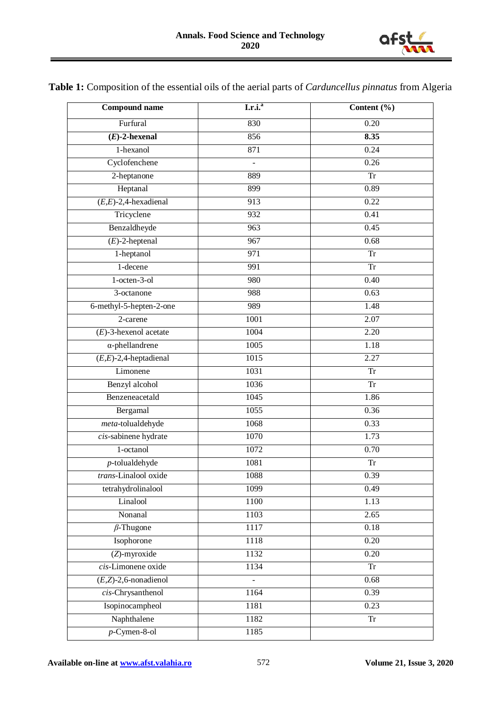

**Table 1:** Composition of the essential oils of the aerial parts of *Carduncellus pinnatus* from Algeria

| <b>Compound name</b>     | I.r.i. <sup>a</sup> | Content (%) |
|--------------------------|---------------------|-------------|
| Furfural                 | 830                 | 0.20        |
| $(E)$ -2-hexenal         | 856                 | 8.35        |
| $1$ -hexanol             | 871                 | 0.24        |
| Cyclofenchene            | $\frac{1}{2}$       | 0.26        |
| 2-heptanone              | 889                 | <b>Tr</b>   |
| Heptanal                 | 899                 | 0.89        |
| $(E,E)$ -2,4-hexadienal  | 913                 | 0.22        |
| Tricyclene               | 932                 | 0.41        |
| Benzaldheyde             | 963                 | 0.45        |
| $(E)$ -2-heptenal        | 967                 | 0.68        |
| 1-heptanol               | $\overline{971}$    | <b>Tr</b>   |
| 1-decene                 | 991                 | <b>Tr</b>   |
| $1-octen-3-o1$           | 980                 | 0.40        |
| 3-octanone               | 988                 | 0.63        |
| 6-methyl-5-hepten-2-one  | 989                 | 1.48        |
| 2-carene                 | 1001                | 2.07        |
| $(E)$ -3-hexenol acetate | 1004                | 2.20        |
| $\alpha$ -phellandrene   | 1005                | 1.18        |
| $(E,E)$ -2,4-heptadienal | $\frac{1015}{2}$    | 2.27        |
| Limonene                 | 1031                | <b>Tr</b>   |
| Benzyl alcohol           | 1036                | <b>Tr</b>   |
| Benzeneacetald           | 1045                | 1.86        |
| Bergamal                 | 1055                | 0.36        |
| meta-tolualdehyde        | 1068                | 0.33        |
| cis-sabinene hydrate     | 1070                | 1.73        |
| 1-octanol                | 1072                | 0.70        |
| $p$ -tolualdehyde        | 1081                | <b>Tr</b>   |
| trans-Linalool oxide     | 1088                | 0.39        |
| tetrahydrolinalool       | 1099                | 0.49        |
| Linalool                 | 1100                | 1.13        |
| Nonanal                  | 1103                | 2.65        |
| $\beta$ -Thugone         | 1117                | 0.18        |
| Isophorone               | 1118                | 0.20        |
| (Z)-myroxide             | 1132                | 0.20        |
| cis-Limonene oxide       | 1134                | Tr          |
| $(E,Z)$ -2,6-nonadienol  |                     | 0.68        |
| $cis$ -Chrysanthenol     | 1164                | 0.39        |
| Isopinocampheol          | 1181                | 0.23        |
| Naphthalene              | 1182                | ${\rm Tr}$  |
| $p$ -Cymen-8-ol          | 1185                |             |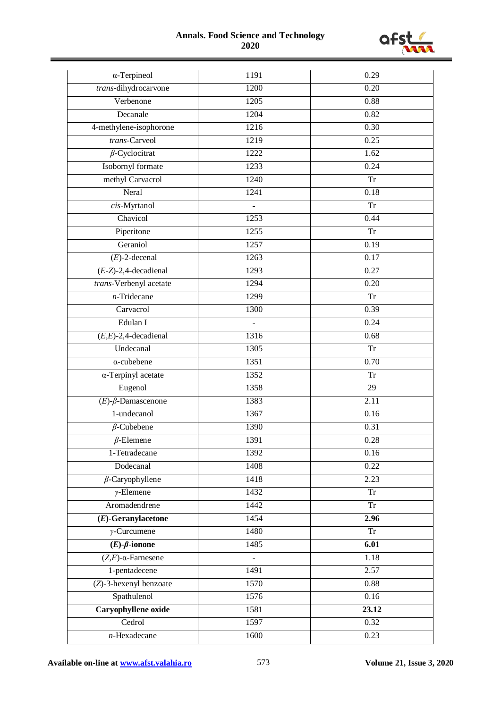#### **Annals. Food Science and Technology 2020**



| $\alpha$ -Terpineol           | 1191             | 0.29              |
|-------------------------------|------------------|-------------------|
| trans-dihydrocarvone          | 1200             | 0.20              |
| Verbenone                     | 1205             | 0.88              |
| Decanale                      | 1204             | 0.82              |
| 4-methylene-isophorone        | $\frac{1216}{2}$ | 0.30              |
| trans-Carveol                 | 1219             | 0.25              |
| $\beta$ -Cyclocitrat          | 1222             | 1.62              |
| Isobornyl formate             | 1233             | 0.24              |
| methyl Carvacrol              | 1240             | <b>Tr</b>         |
| Neral                         | 1241             | 0.18              |
| cis-Myrtanol                  |                  | <b>Tr</b>         |
| Chavicol                      | 1253             | 0.44              |
| Piperitone                    | 1255             | <b>Tr</b>         |
| Geraniol                      | 1257             | 0.19              |
| $(E)$ -2-decenal              | 1263             | 0.17              |
| $(E-Z)$ -2,4-decadienal       | 1293             | 0.27              |
| trans-Verbenyl acetate        | 1294             | 0.20              |
| $n$ -Tridecane                | 1299             | Tr                |
| Carvacrol                     | 1300             | 0.39              |
| Edulan I                      |                  | 0.24              |
| $(E,E)$ -2,4-decadienal       | 1316             | 0.68              |
| Undecanal                     | 1305             | <b>Tr</b>         |
| $\alpha$ -cubebene            | 1351             | 0.70              |
| $\alpha$ -Terpinyl acetate    | 1352             | <b>Tr</b>         |
| Eugenol                       | 1358             | 29                |
| $(E)$ - $\beta$ -Damascenone  | 1383             | 2.11              |
| 1-undecanol                   | 1367             | 0.16              |
| $\beta$ -Cubebene             | 1390             | 0.31              |
| $\beta$ -Elemene              | 1391             | 0.28              |
| 1-Tetradecane                 | 1392             | 0.16              |
| Dodecanal                     | 1408             | 0.22              |
| $\beta$ -Caryophyllene        | 1418             | 2.23              |
| $\nu$ -Elemene                | 1432             | <b>Tr</b>         |
| Aromadendrene                 | 1442             | <b>Tr</b>         |
| $(E)$ -Geranylacetone         | 1454             | 2.96              |
| $\gamma$ -Curcumene           | 1480             | ${\rm Tr}$        |
| $(E)$ - $\beta$ -ionone       | 1485             | 6.01              |
| $(Z,E)$ - $\alpha$ -Farnesene |                  | 1.18              |
| 1-pentadecene                 | 1491             | 2.57              |
| (Z)-3-hexenyl benzoate        | 1570             | 0.88              |
| Spathulenol                   | 1576             | $\overline{0.16}$ |
| Caryophyllene oxide           | 1581             | 23.12             |
| Cedrol                        | 1597             | 0.32              |
| $n$ -Hexadecane               | 1600             | 0.23              |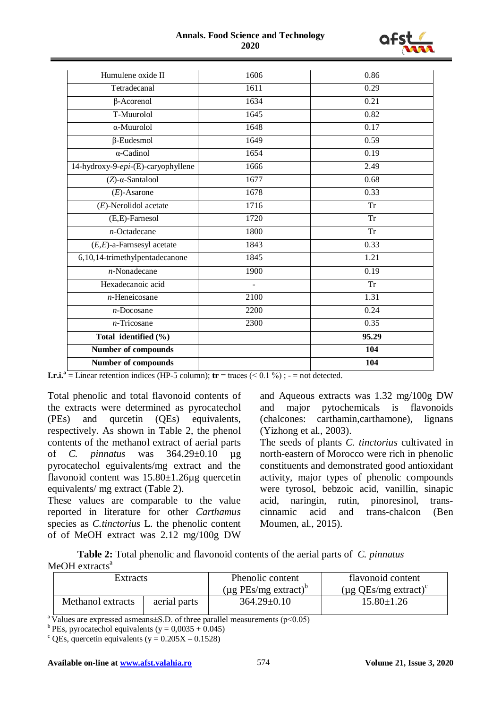#### **Annals. Food Science and Technology 2020**



| Humulene oxide II                  | 1606           | 0.86      |
|------------------------------------|----------------|-----------|
| Tetradecanal                       | 1611           | 0.29      |
| $\beta$ -Acorenol                  | 1634           | 0.21      |
| T-Muurolol                         | 1645           | 0.82      |
| $\alpha$ -Muurolol                 | 1648           | 0.17      |
| $\beta$ -Eudesmol                  | 1649           | 0.59      |
| $\alpha$ -Cadinol                  | 1654           | 0.19      |
| 14-hydroxy-9-epi-(E)-caryophyllene | 1666           | 2.49      |
| $(Z)$ - $\alpha$ -Santalool        | 1677           | 0.68      |
| $(E)$ -Asarone                     | 1678           | 0.33      |
| $(E)$ -Nerolidol acetate           | 1716           | <b>Tr</b> |
| (E,E)-Farnesol                     | 1720           | <b>Tr</b> |
| $n$ -Octadecane                    | 1800           | <b>Tr</b> |
| $(E,E)$ -a-Farnsesyl acetate       | 1843           | 0.33      |
| 6,10,14-trimethylpentadecanone     | 1845           | 1.21      |
| $n$ -Nonadecane                    | 1900           | 0.19      |
| Hexadecanoic acid                  | $\overline{a}$ | <b>Tr</b> |
| $n$ -Heneicosane                   | 2100           | 1.31      |
| $n$ -Docosane                      | 2200           | 0.24      |
| $n$ -Tricosane                     | 2300           | 0.35      |
| Total identified (%)               |                | 95.29     |
| Number of compounds                |                | 104       |
| <b>Number of compounds</b>         |                | 104       |

**I.r.i.**<sup>a</sup> = Linear retention indices (HP-5 column); **tr** = traces ( $\leq$  0.1 %) ; - = not detected.

Total phenolic and total flavonoid contents of the extracts were determined as pyrocatechol (PEs) and qurcetin (QEs) equivalents, respectively. As shown in Table 2, the phenol contents of the methanol extract of aerial parts of *C. pinnatus* was 364.29±0.10 µg pyrocatechol eguivalents/mg extract and the flavonoid content was 15.80±1.26µg quercetin equivalents/ mg extract (Table 2).

These values are comparable to the value reported in literature for other *Carthamus*  species as *C.tinctorius* L. the phenolic content of of MeOH extract was 2.12 mg/100g DW

and Aqueous extracts was 1.32 mg/100g DW and major pytochemicals is flavonoids (chalcones: carthamin,carthamone), lignans (Yizhong et al., 2003).

The seeds of plants *C. tinctorius* cultivated in north-eastern of Morocco were rich in phenolic constituents and demonstrated good antioxidant activity, major types of phenolic compounds were tyrosol, bebzoic acid, vanillin, sinapic acid, naringin, rutin, pinoresinol, transcinnamic acid and trans-chalcon (Ben Moumen, al., 2015).

**Table 2:** Total phenolic and flavonoid contents of the aerial parts of *C. pinnatus*  $MeOH$  extracts<sup>a</sup>

| Extracts          |              | Phenolic content                      | flavonoid content                     |  |
|-------------------|--------------|---------------------------------------|---------------------------------------|--|
|                   |              | $(\mu g$ PEs/mg extract) <sup>o</sup> | $(\mu g$ QEs/mg extract) <sup>c</sup> |  |
| Methanol extracts | aerial parts | $364.29 \pm 0.10$                     | $15.80 \pm 1.26$                      |  |

<sup>a</sup> Values are expressed asmeans±S.D. of three parallel measurements (p<0.05) <sup>b</sup> PEs, pyrocatechol equivalents (y = 0.0035 + 0.045)

 $\textdegree$  QEs, quercetin equivalents (y = 0.205X – 0.1528)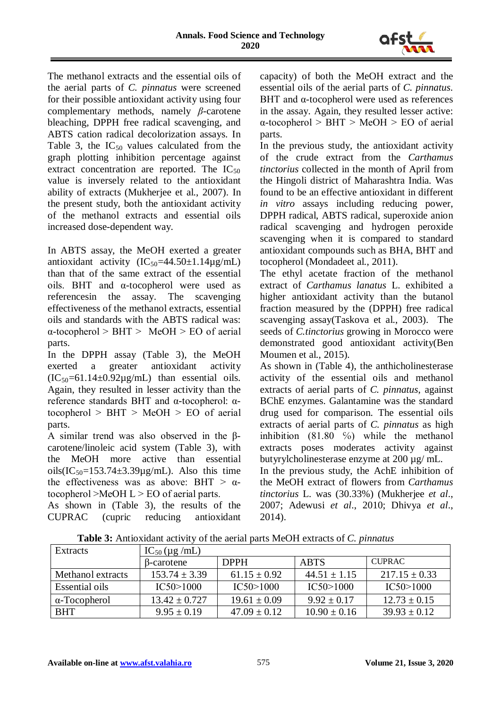

The methanol extracts and the essential oils of the aerial parts of *C. pinnatus* were screened for their possible antioxidant activity using four complementary methods, namely *β*-carotene bleaching, DPPH free radical scavenging, and ABTS cation radical decolorization assays. In Table 3, the  $IC_{50}$  values calculated from the graph plotting inhibition percentage against extract concentration are reported. The  $IC_{50}$ value is inversely related to the antioxidant ability of extracts (Mukherjee et al., 2007). In the present study, both the antioxidant activity of the methanol extracts and essential oils increased dose-dependent way.

In ABTS assay, the MeOH exerted a greater antioxidant activity  $(IC_{50} = 44.50 \pm 1.14 \mu g/mL)$ than that of the same extract of the essential oils. BHT and α-tocopherol were used as referencesin the assay. The scavenging effectiveness of the methanol extracts, essential oils and standards with the ABTS radical was:  $\alpha$ -tocopherol > BHT > MeOH > EO of aerial parts.

In the DPPH assay (Table 3), the MeOH exerted a greater antioxidant activity  $(IC<sub>50</sub>=61.14±0.92µg/mL)$  than essential oils. Again, they resulted in lesser activity than the reference standards BHT and α-tocopherol: αtocopherol  $>$  BHT  $>$  MeOH  $>$  EO of aerial parts.

A similar trend was also observed in the βcarotene/linoleic acid system (Table 3), with the MeOH more active than essential oils( $IC_{50}$ =153.74±3.39 $\mu$ g/mL). Also this time the effectiveness was as above: BHT  $> \alpha$ tocopherol  $>$ MeOH L  $>$  EO of aerial parts.

As shown in (Table 3), the results of the CUPRAC (cupric reducing antioxidant capacity) of both the MeOH extract and the essential oils of the aerial parts of *C. pinnatus*. BHT and α-tocopherol were used as references in the assay. Again, they resulted lesser active:  $\alpha$ -tocopherol > BHT > MeOH > EO of aerial parts.

In the previous study, the antioxidant activity of the crude extract from the *Carthamus tinctorius* collected in the month of April from the Hingoli district of Maharashtra India. Was found to be an effective antioxidant in different *in vitro* assays including reducing power, DPPH radical, ABTS radical, superoxide anion radical scavenging and hydrogen peroxide scavenging when it is compared to standard antioxidant compounds such as BHA, BHT and tocopherol (Mondadeet al., 2011).

The ethyl acetate fraction of the methanol extract of *Carthamus lanatus* L. exhibited a higher antioxidant activity than the butanol fraction measured by the (DPPH) free radical scavenging assay(Taskova et al., 2003). The seeds of *C.tinctorius* growing in Morocco were demonstrated good antioxidant activity(Ben Moumen et al., 2015).

As shown in (Table 4), the anthicholinesterase activity of the essential oils and methanol extracts of aerial parts of *C. pinnatus*, against BChE enzymes. Galantamine was the standard drug used for comparison. The essential oils extracts of aerial parts of *C. pinnatus* as high inhibition  $(81.80 \degree)$  while the methanol extracts poses moderates activity against butyrylcholinesterase enzyme at 200 µg/ mL.

In the previous study, the AchE inhibition of the MeOH extract of flowers from *Carthamus tinctorius* L. was (30.33%) (Mukherjee *et al*., 2007; Adewusi *et al*., 2010; Dhivya *et al*., 2014).

**Table 3:** Antioxidant activity of the aerial parts MeOH extracts of *C. pinnatus*

| Extracts             | $IC_{50}$ (µg /mL) |                  |                  |                   |
|----------------------|--------------------|------------------|------------------|-------------------|
|                      | β-carotene         | <b>DPPH</b>      | <b>ABTS</b>      | <b>CUPRAC</b>     |
| Methanol extracts    | $153.74 + 3.39$    | $61.15 \pm 0.92$ | $44.51 + 1.15$   | $217.15 \pm 0.33$ |
| Essential oils       | IC50>1000          | IC50>1000        | IC50>1000        | IC50>1000         |
| $\alpha$ -Tocopherol | $13.42 \pm 0.727$  | $19.61 \pm 0.09$ | $9.92 \pm 0.17$  | $12.73 \pm 0.15$  |
| <b>BHT</b>           | $9.95 \pm 0.19$    | $47.09 + 0.12$   | $10.90 \pm 0.16$ | $39.93 \pm 0.12$  |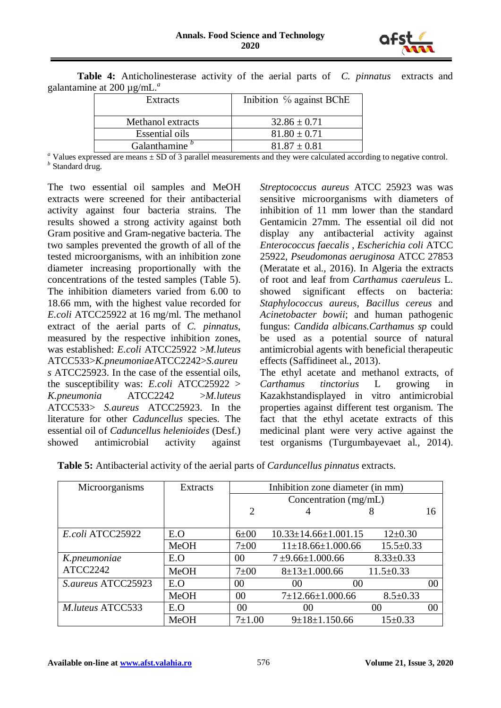

| $\epsilon$ at $200 \mu$ g/ $\mu$ m. |                                  |
|-------------------------------------|----------------------------------|
| <b>Extracts</b>                     | Inibition % against BChE         |
| Methanol extracts                   | $32.86 \pm 0.71$                 |
| Essential oils                      | $81.80 \pm 0.71$                 |
| $\sim$ 1 $\sim$                     | $0.1 \times 10^{-1} \times 0.01$ |

**Table 4:** Anticholinesterase activity of the aerial parts of *C. pinnatus* extracts and galantamine at 200 µg/mL.*<sup>a</sup>*

<sup>*a*</sup> Values expressed are means  $\pm$  SD of 3 parallel measurements and they were calculated according to negative control. *<sup>b</sup>* Standard drug.

The two essential oil samples and MeOH extracts were screened for their antibacterial activity against four bacteria strains. The results showed a strong activity against both Gram positive and Gram-negative bacteria. The two samples prevented the growth of all of the tested microorganisms, with an inhibition zone diameter increasing proportionally with the concentrations of the tested samples (Table 5). The inhibition diameters varied from 6.00 to 18.66 mm, with the highest value recorded for *E.coli* ATCC25922 at 16 mg/ml. The methanol extract of the aerial parts of *C. pinnatus*, measured by the respective inhibition zones, was established: *E.coli* ATCC25922 >*M.luteus*  ATCC533>*K.pneumoniae*ATCC2242>*S.aureu s* ATCC25923. In the case of the essential oils, the susceptibility was: *E.coli* ATCC25922 > *K.pneumonia* ATCC2242 >*M.luteus*  ATCC533> *S.aureus* ATCC25923. In the literature for other *Caduncellus* species. The essential oil of *Caduncellus helenioides* (Desf.) showed antimicrobial activity against

*Streptococcus aureus* ATCC 25923 was was sensitive microorganisms with diameters of inhibition of 11 mm lower than the standard Gentamicin 27mm. The essential oil did not display any antibacterial activity against *Enterococcus faecalis* , *Escherichia coli* ATCC 25922, *Pseudomonas aeruginosa* ATCC 27853 (Meratate et al., 2016). In Algeria the extracts of root and leaf from *Carthamus caeruleus* L. showed significant effects on bacteria: *Staphylococcus aureus*, *Bacillus cereus* and *Acinetobacter bowii*; and human pathogenic fungus: *Candida albicans.Carthamus sp* could be used as a potential source of natural antimicrobial agents with beneficial therapeutic effects (Saffidineet al., 2013).

The ethyl acetate and methanol extracts, of *Carthamus tinctorius* L growing in Kazakhstandisplayed in vitro antimicrobial properties against different test organism. The fact that the ethyl acetate extracts of this medicinal plant were very active against the test organisms (Turgumbayevaet al., 2014).

| Microorganisms      | <b>Extracts</b> | Inhibition zone diameter (in mm) |                                |                 |    |
|---------------------|-----------------|----------------------------------|--------------------------------|-----------------|----|
|                     |                 | Concentration (mg/mL)            |                                |                 |    |
|                     |                 | 2                                |                                | 8               | 16 |
|                     |                 |                                  |                                |                 |    |
| E.coli ATCC25922    | E.O             | $6\pm00$                         | $10.33 \pm 14.66 \pm 1.001.15$ | $12 \pm 0.30$   |    |
|                     | <b>MeOH</b>     | $7\pm00$                         | $11\pm18.66\pm1.000.66$        | $15.5 \pm 0.33$ |    |
| K.pneumoniae        | E.O             | 00                               | $7 + 9.66 + 1.000.66$          | $8.33 \pm 0.33$ |    |
| ATCC2242            | <b>MeOH</b>     | $7\pm00$                         | $8 \pm 13 \pm 1.000.66$        | $11.5 \pm 0.33$ |    |
| S. aureus ATCC25923 | E.O             | 00                               | 00<br>00                       |                 | 00 |
|                     | <b>MeOH</b>     | $00\,$                           | $7\pm12.66\pm1.000.66$         | $8.5 \pm 0.33$  |    |
| M.luteus ATCC533    | E.O             | 00                               | 00                             | 00              | 00 |
|                     | <b>MeOH</b>     | $7 + 1.00$                       | $9 \pm 18 \pm 1.150.66$        | $15 \pm 0.33$   |    |

**Table 5:** Antibacterial activity of the aerial parts of *Carduncellus pinnatus* extracts.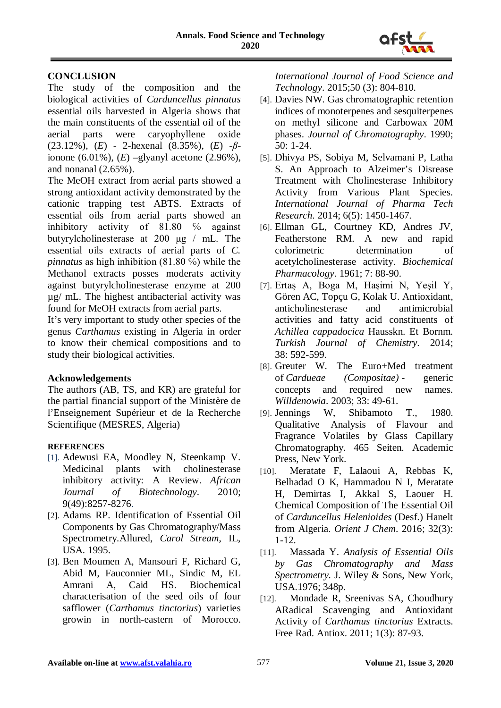

## **CONCLUSION**

The study of the composition and the biological activities of *Carduncellus pinnatus* essential oils harvested in Algeria shows that the main constituents of the essential oil of the aerial parts were caryophyllene oxide (23.12%), (*E*) - 2-hexenal (8.35%), (*E*) -*β*ionone (6.01%), (*E*) –glyanyl acetone (2.96%), and nonanal (2.65%).

The MeOH extract from aerial parts showed a strong antioxidant activity demonstrated by the cationic trapping test ABTS. Extracts of essential oils from aerial parts showed an inhibitory activity of 81.80 <sup>%</sup> against butyrylcholinesterase at 200 μg / mL. The essential oils extracts of aerial parts of *C. pinnatus* as high inhibition (81.80 %) while the Methanol extracts posses moderats activity against butyrylcholinesterase enzyme at 200 µg/ mL. The highest antibacterial activity was found for MeOH extracts from aerial parts.

It's very important to study other species of the genus *Carthamus* existing in Algeria in order to know their chemical compositions and to study their biological activities.

## **Acknowledgements**

The authors (AB, TS, and KR) are grateful for the partial financial support of the Ministère de l'Enseignement Supérieur et de la Recherche Scientifique (MESRES, Algeria)

#### **REFERENCES**

- [1]. Adewusi EA, Moodley N, Steenkamp V. Medicinal plants with cholinesterase inhibitory activity: A Review. *African Journal of Biotechnology*. 2010; 9(49):8257-8276.
- [2]. Adams RP. Identification of Essential Oil Components by Gas Chromatography/Mass Spectrometry.Allured, *Carol Stream*, IL, USA. 1995.
- [3]. Ben Moumen A, Mansouri F, Richard G, Abid M, Fauconnier ML, Sindic M, EL Amrani A, Caid HS. Biochemical characterisation of the seed oils of four safflower (*Carthamus tinctorius*) varieties growin in north-eastern of Morocco.

*International Journal of Food Science and Technology*. 2015;50 (3): 804-810.

- [4]. Davies NW. Gas chromatographic retention indices of monoterpenes and sesquiterpenes on methyl silicone and Carbowax 20M phases. *Journal of Chromatography*. 1990; 50: 1-24.
- [5]. Dhivya PS, Sobiya M, Selvamani P, Latha S. An Approach to Alzeimer's Disrease Treatment with Cholinesterase Inhibitory Activity from Various Plant Species. *International Journal of Pharma Tech Research*. 2014; 6(5): 1450-1467.
- [6]. Ellman GL, Courtney KD, Andres JV, Featherstone RM. A new and rapid colorimetric determination of acetylcholinesterase activity. *Biochemical Pharmacology*. 1961; 7: 88**-**90.
- [7]. Ertaş A, Boga M, Haşimi N, Yeşil Y, Gören AC, Topçu G, Kolak U. Antioxidant, anticholinesterase and antimicrobial activities and fatty acid constituents of *Achillea cappadocica* Hausskn. Et Bornm. *Turkish Journal of Chemistry*. 2014; 38: 592-599.
- [8]. Greuter W. The Euro+Med treatment of *Cardueae (Compositae)* - generic concepts and required new names. *Willdenowia*. 2003; 33: 49-61.
- [9]. Jennings W, Shibamoto T., 1980. Qualitative Analysis of Flavour and Fragrance Volatiles by Glass Capillary Chromatography. 465 Seiten. Academic Press, New York.
- [10]. Meratate F, Lalaoui A, Rebbas K, Belhadad O K, Hammadou N I, Meratate H, Demirtas I, Akkal S, Laouer H. Chemical Composition of The Essential Oil of *Carduncellus Helenioides* (Desf.) Hanelt from Algeria. *Orient J Chem*. 2016; 32(3): 1-12.
- [11]. Massada Y. *Analysis of Essential Oils by Gas Chromatography and Mass Spectrometry.* J. Wiley & Sons, New York, USA.1976; 348p.
- [12]. Mondade R, Sreenivas SA, Choudhury ARadical Scavenging and Antioxidant Activity of *Carthamus tinctorius* Extracts. Free Rad. Antiox. 2011; 1(3): 87-93.